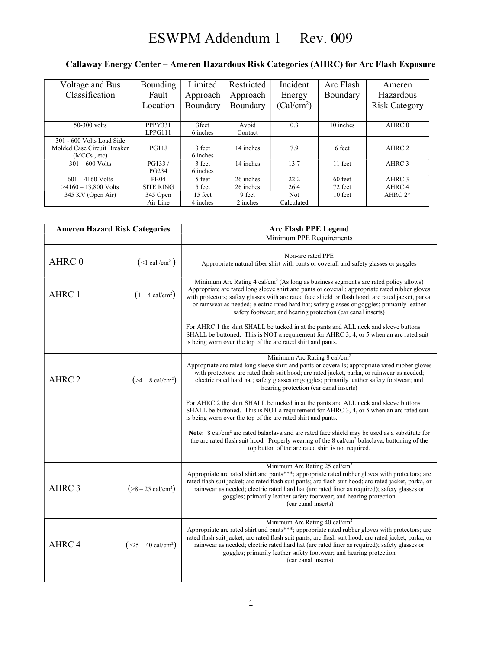## ESWPM Addendum 1 Rev. 009

## Callaway Energy Center – Ameren Hazardous Risk Categories (AHRC) for Arc Flash Exposure

| Voltage and Bus             | <b>Bounding</b>  | Limited  | Restricted | Incident               | Arc Flash | Ameren               |
|-----------------------------|------------------|----------|------------|------------------------|-----------|----------------------|
| Classification              | Fault            | Approach | Approach   | Energy                 | Boundary  | Hazardous            |
|                             | Location         | Boundary | Boundary   | (Cal/cm <sup>2</sup> ) |           | <b>Risk Category</b> |
|                             |                  |          |            |                        |           |                      |
| $50-300$ volts              | PPPY331          | 3feet    | Avoid      | 0.3                    | 10 inches | AHRC 0               |
|                             | LPPG111          | 6 inches | Contact    |                        |           |                      |
| 301 - 600 Volts Load Side   |                  |          |            |                        |           |                      |
| Molded Case Circuit Breaker | PG11J            | 3 feet   | 14 inches  | 7.9                    | 6 feet    | AHRC 2               |
| (MCCs, etc)                 |                  | 6 inches |            |                        |           |                      |
| $301 - 600$ Volts           | PG133/           | 3 feet   | 14 inches  | 13.7                   | 11 feet   | AHRC 3               |
|                             | PG234            | 6 inches |            |                        |           |                      |
| $601 - 4160$ Volts          | <b>PB04</b>      | 5 feet   | 26 inches  | 22.2                   | 60 feet   | AHRC 3               |
| $>4160 - 13,800$ Volts      | <b>SITE RING</b> | 5 feet   | 26 inches  | 26.4                   | 72 feet   | AHRC 4               |
| 345 KV (Open Air)           | 345 Open         | 15 feet  | 9 feet     | Not                    | 10 feet   | AHRC $2*$            |
|                             | Air Line         | 4 inches | 2 inches   | Calculated             |           |                      |

| <b>Ameren Hazard Risk Categories</b> |                                                   | <b>Arc Flash PPE Legend</b>                                                                                                                                                                                                                                                                                                                                                                                                                                             |  |  |
|--------------------------------------|---------------------------------------------------|-------------------------------------------------------------------------------------------------------------------------------------------------------------------------------------------------------------------------------------------------------------------------------------------------------------------------------------------------------------------------------------------------------------------------------------------------------------------------|--|--|
|                                      |                                                   | Minimum PPE Requirements                                                                                                                                                                                                                                                                                                                                                                                                                                                |  |  |
| AHRC 0                               | $\left(\frac{1}{2}$ cal/cm <sup>2</sup> $\right)$ | Non-arc rated PPE<br>Appropriate natural fiber shirt with pants or coverall and safety glasses or goggles                                                                                                                                                                                                                                                                                                                                                               |  |  |
| AHRC 1                               | $(1-4 \text{ cal/cm}^2)$                          | Minimum Arc Rating 4 cal/cm <sup>2</sup> (As long as business segment's arc rated policy allows)<br>Appropriate arc rated long sleeve shirt and pants or coverall; appropriate rated rubber gloves<br>with protectors; safety glasses with arc rated face shield or flash hood; arc rated jacket, parka,<br>or rainwear as needed; electric rated hard hat; safety glasses or goggles; primarily leather<br>safety footwear; and hearing protection (ear canal inserts) |  |  |
|                                      |                                                   | For AHRC 1 the shirt SHALL be tucked in at the pants and ALL neck and sleeve buttons<br>SHALL be buttoned. This is NOT a requirement for AHRC 3, 4, or 5 when an arc rated suit<br>is being worn over the top of the arc rated shirt and pants.                                                                                                                                                                                                                         |  |  |
|                                      |                                                   | Minimum Arc Rating 8 cal/cm <sup>2</sup>                                                                                                                                                                                                                                                                                                                                                                                                                                |  |  |
| AHRC <sub>2</sub>                    | $(>=4 - 8 \text{ cal/cm}^2)$                      | Appropriate arc rated long sleeve shirt and pants or coveralls; appropriate rated rubber gloves<br>with protectors; arc rated flash suit hood; arc rated jacket, parka, or rainwear as needed;<br>electric rated hard hat; safety glasses or goggles; primarily leather safety footwear; and<br>hearing protection (ear canal inserts)                                                                                                                                  |  |  |
|                                      |                                                   | For AHRC 2 the shirt SHALL be tucked in at the pants and ALL neck and sleeve buttons<br>SHALL be buttoned. This is NOT a requirement for AHRC 3, 4, or 5 when an arc rated suit<br>is being worn over the top of the arc rated shirt and pants.                                                                                                                                                                                                                         |  |  |
|                                      |                                                   | <b>Note:</b> 8 cal/cm <sup>2</sup> arc rated balaclava and arc rated face shield may be used as a substitute for<br>the arc rated flash suit hood. Properly wearing of the 8 cal/cm <sup>2</sup> balaclava, buttoning of the<br>top button of the arc rated shirt is not required.                                                                                                                                                                                      |  |  |
|                                      |                                                   | Minimum Arc Rating 25 cal/cm <sup>2</sup>                                                                                                                                                                                                                                                                                                                                                                                                                               |  |  |
| AHRC <sub>3</sub>                    | $(>8-25 \text{ cal/cm}^2)$                        | Appropriate arc rated shirt and pants***; appropriate rated rubber gloves with protectors; arc<br>rated flash suit jacket; arc rated flash suit pants; arc flash suit hood; arc rated jacket, parka, or<br>rainwear as needed; electric rated hard hat (arc rated liner as required); safety glasses or<br>goggles; primarily leather safety footwear; and hearing protection<br>(ear canal inserts)                                                                    |  |  |
| AHRC <sub>4</sub>                    | $(>25-40 \text{ cal/cm}^2)$                       | Minimum Arc Rating 40 cal/cm <sup>2</sup><br>Appropriate arc rated shirt and pants***; appropriate rated rubber gloves with protectors; arc<br>rated flash suit jacket; arc rated flash suit pants; arc flash suit hood; arc rated jacket, parka, or<br>rainwear as needed; electric rated hard hat (arc rated liner as required); safety glasses or<br>goggles; primarily leather safety footwear; and hearing protection<br>(ear canal inserts)                       |  |  |
|                                      |                                                   |                                                                                                                                                                                                                                                                                                                                                                                                                                                                         |  |  |